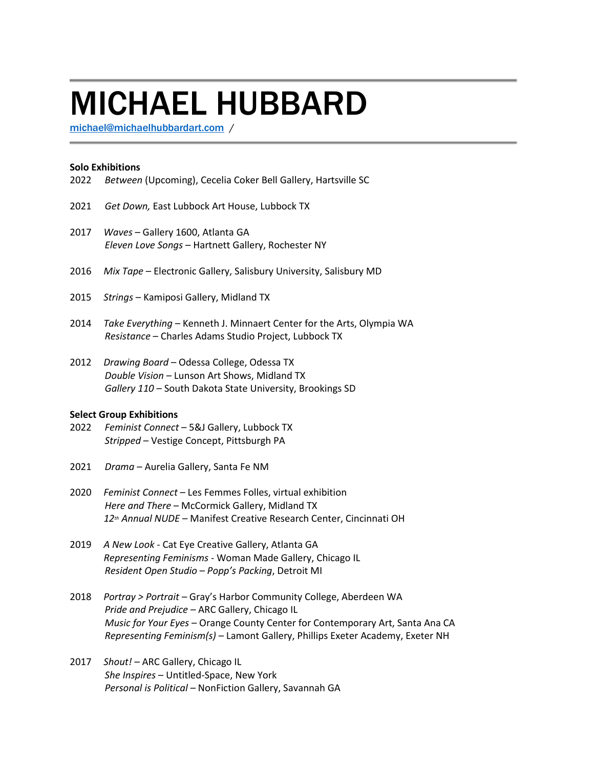# MICHAEL HUBBARD

[michael@michaelhubbardart.com](mailto:michael@michaelhubbardart.com) /

#### **Solo Exhibitions**

- 2022 *Between* (Upcoming), Cecelia Coker Bell Gallery, Hartsville SC
- 2021 *Get Down,* East Lubbock Art House, Lubbock TX
- 2017 *Waves* Gallery 1600, Atlanta GA *Eleven Love Songs* – Hartnett Gallery, Rochester NY
- 2016 *Mix Tape* Electronic Gallery, Salisbury University, Salisbury MD
- 2015 *Strings* Kamiposi Gallery, Midland TX
- 2014 *Take Everything* Kenneth J. Minnaert Center for the Arts, Olympia WA *Resistance* – Charles Adams Studio Project, Lubbock TX
- 2012 *Drawing Board* Odessa College, Odessa TX *Double Vision* – Lunson Art Shows, Midland TX *Gallery 110* – South Dakota State University, Brookings SD

#### **Select Group Exhibitions**

- 2022 *Feminist Connect* 5&J Gallery, Lubbock TX *Stripped* – Vestige Concept, Pittsburgh PA
- 2021 *Drama*  Aurelia Gallery, Santa Fe NM
- 2020 *Feminist Connect* Les Femmes Folles, virtual exhibition *Here and There* – McCormick Gallery, Midland TX *12th Annual NUDE* – Manifest Creative Research Center, Cincinnati OH
- 2019 *A New Look* Cat Eye Creative Gallery, Atlanta GA  *Representing Feminisms* - Woman Made Gallery, Chicago IL *Resident Open Studio – Popp's Packing*, Detroit MI
- 2018 *Portray > Portrait –* Gray's Harbor Community College, Aberdeen WA *Pride and Prejudice* – ARC Gallery, Chicago IL *Music for Your Eyes* – Orange County Center for Contemporary Art, Santa Ana CA *Representing Feminism(s)* – Lamont Gallery, Phillips Exeter Academy, Exeter NH
- 2017 *Shout! –* ARC Gallery, Chicago IL *She Inspires* – Untitled-Space, New York *Personal is Political –* NonFiction Gallery, Savannah GA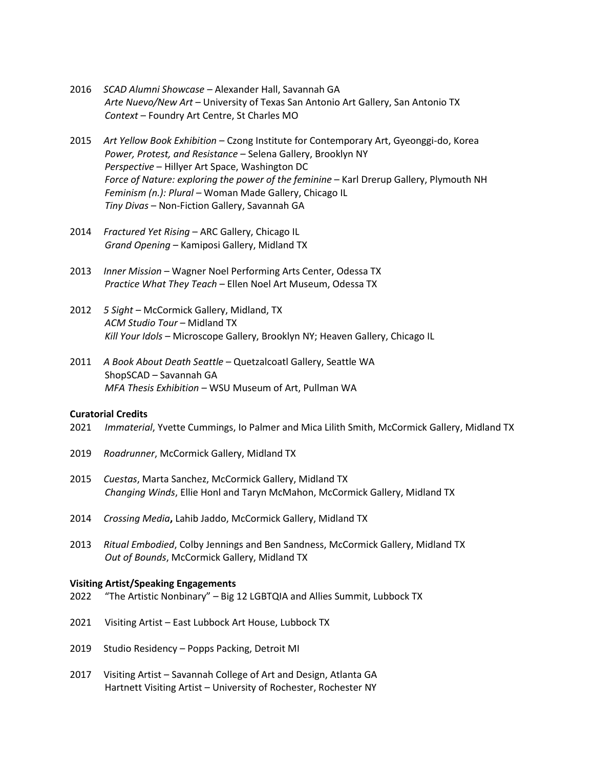- 2016 *SCAD Alumni Showcase –* Alexander Hall, Savannah GA *Arte Nuevo/New Art* – University of Texas San Antonio Art Gallery, San Antonio TX *Context* – Foundry Art Centre, St Charles MO
- 2015 *Art Yellow Book Exhibition* Czong Institute for Contemporary Art, Gyeonggi-do, Korea *Power, Protest, and Resistance* – Selena Gallery, Brooklyn NY *Perspective* – Hillyer Art Space, Washington DC *Force of Nature: exploring the power of the feminine* – Karl Drerup Gallery, Plymouth NH *Feminism (n.): Plural –* Woman Made Gallery, Chicago IL *Tiny Divas* – Non-Fiction Gallery, Savannah GA
- 2014 *Fractured Yet Rising* ARC Gallery, Chicago IL *Grand Opening* – Kamiposi Gallery, Midland TX
- 2013 *Inner Mission* Wagner Noel Performing Arts Center, Odessa TX *Practice What They Teach* – Ellen Noel Art Museum, Odessa TX
- 2012 *5 Sight* McCormick Gallery, Midland, TX *ACM Studio Tour* – Midland TX *Kill Your Idols* – Microscope Gallery, Brooklyn NY; Heaven Gallery, Chicago IL
- 2011 *A Book About Death Seattle* Quetzalcoatl Gallery, Seattle WA ShopSCAD – Savannah GA *MFA Thesis Exhibition* – WSU Museum of Art, Pullman WA

## **Curatorial Credits**

- 2021 *Immaterial*, Yvette Cummings, Io Palmer and Mica Lilith Smith, McCormick Gallery, Midland TX
- 2019 *Roadrunner*, McCormick Gallery, Midland TX
- 2015 *Cuestas*, Marta Sanchez, McCormick Gallery, Midland TX *Changing Winds*, Ellie Honl and Taryn McMahon, McCormick Gallery, Midland TX
- 2014 *Crossing Media***,** Lahib Jaddo, McCormick Gallery, Midland TX
- 2013 *Ritual Embodied*, Colby Jennings and Ben Sandness, McCormick Gallery, Midland TX *Out of Bounds*, McCormick Gallery, Midland TX

## **Visiting Artist/Speaking Engagements**

- 2022 "The Artistic Nonbinary" Big 12 LGBTQIA and Allies Summit, Lubbock TX
- 2021 Visiting Artist East Lubbock Art House, Lubbock TX
- 2019 Studio Residency Popps Packing, Detroit MI
- 2017 Visiting Artist Savannah College of Art and Design, Atlanta GA Hartnett Visiting Artist – University of Rochester, Rochester NY